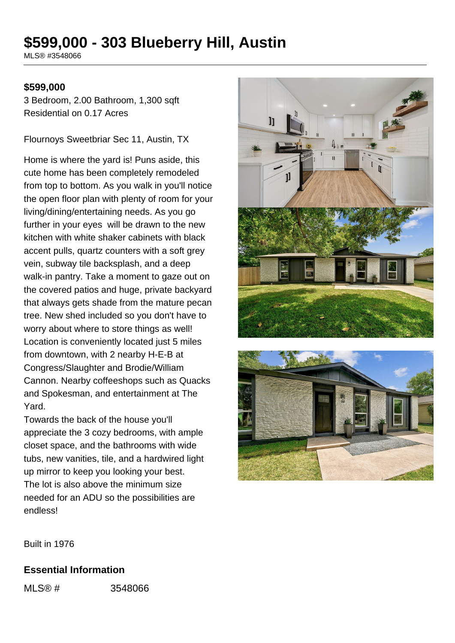# **\$599,000 - 303 Blueberry Hill, Austin**

MLS® #3548066

### **\$599,000**

3 Bedroom, 2.00 Bathroom, 1,300 sqft Residential on 0.17 Acres

Flournoys Sweetbriar Sec 11, Austin, TX

Home is where the yard is! Puns aside, this cute home has been completely remodeled from top to bottom. As you walk in you'll notice the open floor plan with plenty of room for your living/dining/entertaining needs. As you go further in your eyes will be drawn to the new kitchen with white shaker cabinets with black accent pulls, quartz counters with a soft grey vein, subway tile backsplash, and a deep walk-in pantry. Take a moment to gaze out on the covered patios and huge, private backyard that always gets shade from the mature pecan tree. New shed included so you don't have to worry about where to store things as well! Location is conveniently located just 5 miles from downtown, with 2 nearby H-E-B at Congress/Slaughter and Brodie/William Cannon. Nearby coffeeshops such as Quacks and Spokesman, and entertainment at The Yard.

Towards the back of the house you'll appreciate the 3 cozy bedrooms, with ample closet space, and the bathrooms with wide tubs, new vanities, tile, and a hardwired light up mirror to keep you looking your best. The lot is also above the minimum size needed for an ADU so the possibilities are endless!





Built in 1976

#### **Essential Information**

MLS® # 3548066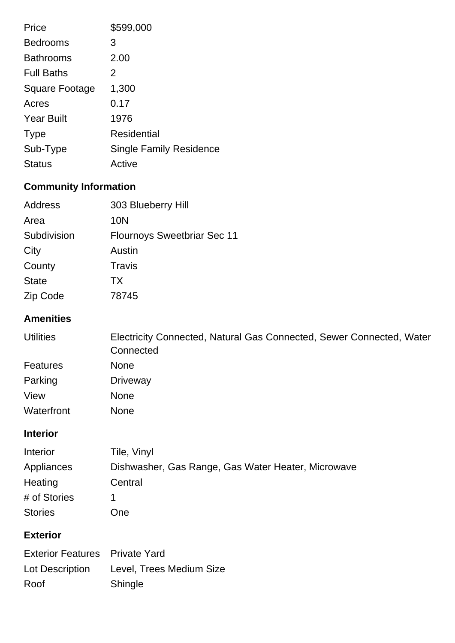| Price                 | \$599,000                      |
|-----------------------|--------------------------------|
| <b>Bedrooms</b>       | 3                              |
| <b>Bathrooms</b>      | 2.00                           |
| <b>Full Baths</b>     | 2                              |
| <b>Square Footage</b> | 1,300                          |
| Acres                 | 0.17                           |
| <b>Year Built</b>     | 1976                           |
| <b>Type</b>           | <b>Residential</b>             |
| Sub-Type              | <b>Single Family Residence</b> |
| <b>Status</b>         | Active                         |

# **Community Information**

| Address      | 303 Blueberry Hill                 |
|--------------|------------------------------------|
| Area         | 10N                                |
| Subdivision  | <b>Flournoys Sweetbriar Sec 11</b> |
| City         | Austin                             |
| County       | Travis                             |
| <b>State</b> | <b>TX</b>                          |
| Zip Code     | 78745                              |

## **Amenities**

| <b>Utilities</b> | Electricity Connected, Natural Gas Connected, Sewer Connected, Water<br>Connected |
|------------------|-----------------------------------------------------------------------------------|
| <b>Features</b>  | <b>None</b>                                                                       |
| Parking          | Driveway                                                                          |
| View             | <b>None</b>                                                                       |
| Waterfront       | <b>None</b>                                                                       |

## **Interior**

| Interior       | Tile, Vinyl                                        |
|----------------|----------------------------------------------------|
| Appliances     | Dishwasher, Gas Range, Gas Water Heater, Microwave |
| Heating        | Central                                            |
| # of Stories   |                                                    |
| <b>Stories</b> | One                                                |

## **Exterior**

| <b>Exterior Features</b> Private Yard |                                          |
|---------------------------------------|------------------------------------------|
|                                       | Lot Description Level, Trees Medium Size |
| Roof                                  | Shingle                                  |